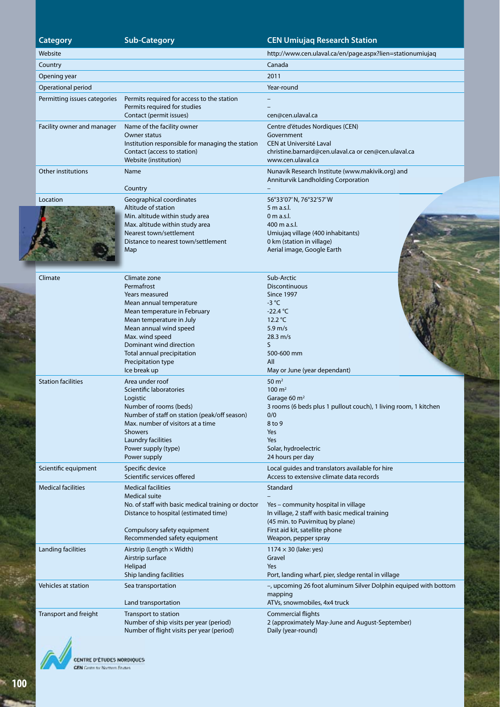#### **Category Sub-Category CEN Umiujaq Research Station** Website http://www.cen.ulaval.ca/en/page.aspx?lien=stationumiujaq **Country Canada** Country Countries and Canada Countries and Canada Canada Canada Canada Canada Canada Canada Cana Opening year 2011 Operational period Year-round Permitting issues categories Permits required for access to the station Permits required for studies Contact (permit issues) – – cen@cen.ulaval.ca Facility owner and manager Name of the facility owner Owner status Institution responsible for managing the station Contact (access to station) Website (institution) Centre d'études Nordiques (CEN) Government CEN at Université Laval christine.barnard@cen.ulaval.ca or cen@cen.ulaval.ca www.cen.ulaval.ca Other institutions Name **Country** Nunavik Research Institute (www.makivik.org) and Anniturvik Landholding Corporation – Location Geographical coordinates Altitude of station Min. altitude within study area Max. altitude within study area Nearest town/settlement Distance to nearest town/settlement Map 56°33'07' N, 76°32'57' W 5 m a.s.l.  $0$  m a.s.l. 400 m a.s.l. Umiujaq village (400 inhabitants) 0 km (station in village) Aerial image, Google Earth Climate Climate zone Permafrost Years measured Mean annual temperature Mean temperature in February Mean temperature in July Mean annual wind speed Max. wind speed Dominant wind direction Total annual precipitation Precipitation type Ice break up Sub-Arctic **Discontinuous** Since 1997 -3 °C  $-22.4 °C$ 12.2 °C 5.9 m/s 28.3 m/s S 500-600 mm All May or June (year dependant) Station facilities **Area** under roof Scientific laboratories Logistic Number of rooms (beds) Number of staff on station (peak/off season) Max. number of visitors at a time Showers Laundry facilities Power supply (type) Power supply 50 $m<sup>2</sup>$  $100 \text{ m}^2$ Garage 60 m<sup>2</sup> 3 rooms (6 beds plus 1 pullout couch), 1 living room, 1 kitchen  $0/0$ 8 to 9 Yes Yes Solar, hydroelectric 24 hours per day Scientific equipment Specific device Scientific services offered Local guides and translators available for hire Access to extensive climate data records Medical facilities Medical facilities Medical suite No. of staff with basic medical training or doctor Distance to hospital (estimated time) Compulsory safety equipment Recommended safety equipment Standard – Yes – community hospital in village In village, 2 staff with basic medical training (45 min. to Puvirnituq by plane) First aid kit, satellite phone Weapon, pepper spray Landing facilities  $\overline{A}$  Airstrip (Length  $\times$  Width) Airstrip surface Helipad Ship landing facilities  $1174 \times 30$  (lake: yes) Gravel Yes Port, landing wharf, pier, sledge rental in village Vehicles at station Sea transportation Land transportation –, upcoming 26 foot aluminum Silver Dolphin equiped with bottom mapping ATVs, snowmobiles, 4x4 truck

Commercial flights

Daily (year-round)

2 (approximately May-June and August-September)



Transport and freight Transport to station

Number of ship visits per year (period) Number of flight visits per year (period)